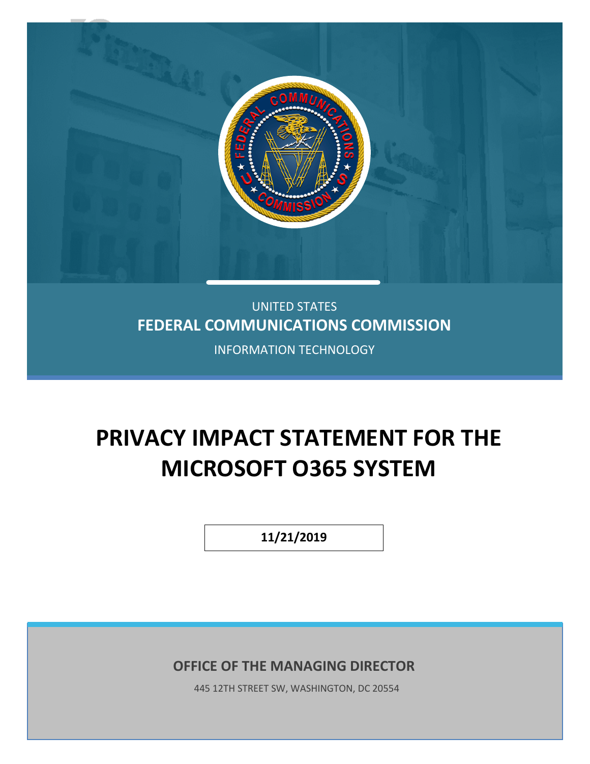

## UNITED STATES **FEDERAL COMMUNICATIONS COMMISSION**

INFORMATION TECHNOLOGY

# **PRIVACY IMPACT STATEMENT FOR THE MICROSOFT O365 SYSTEM**

**11/21/2019**

**OFFICE OF THE MANAGING DIRECTOR**

445 12TH STREET SW, WASHINGTON, DC 20554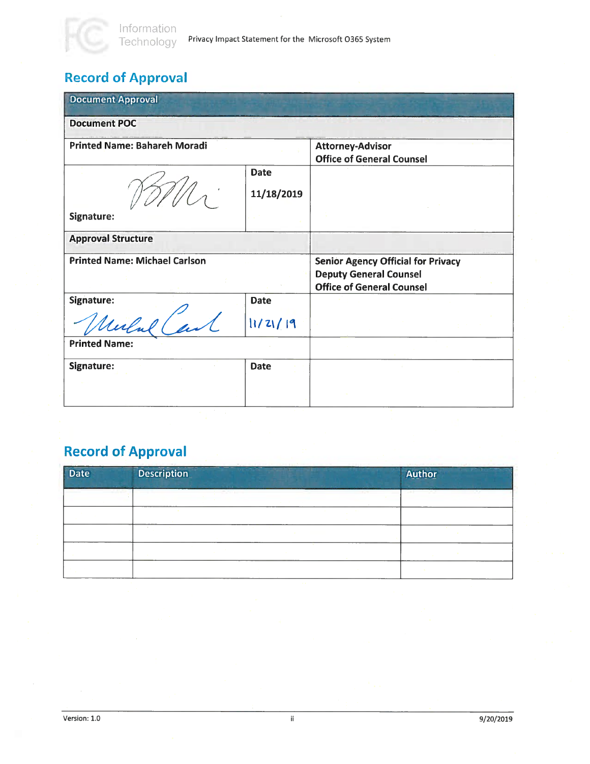## Record of Approval

| <b>Document Approval</b>             |                           |                                                                                                                |
|--------------------------------------|---------------------------|----------------------------------------------------------------------------------------------------------------|
| <b>Document POC</b>                  |                           |                                                                                                                |
| <b>Printed Name: Bahareh Moradi</b>  |                           | <b>Attorney-Advisor</b><br><b>Office of General Counsel</b>                                                    |
|                                      | <b>Date</b><br>11/18/2019 |                                                                                                                |
| Signature:                           |                           |                                                                                                                |
| <b>Approval Structure</b>            |                           |                                                                                                                |
| <b>Printed Name: Michael Carlson</b> |                           | <b>Senior Agency Official for Privacy</b><br><b>Deputy General Counsel</b><br><b>Office of General Counsel</b> |
| Signature:                           | <b>Date</b>               |                                                                                                                |
| Merlul Carl                          | 11/21/19                  |                                                                                                                |
| <b>Printed Name:</b>                 |                           |                                                                                                                |
| Signature:                           | <b>Date</b>               |                                                                                                                |
|                                      |                           |                                                                                                                |

## Record of Approval

| Date | <b>Description</b> | Author |
|------|--------------------|--------|
|      | mm                 |        |
|      |                    |        |
|      |                    |        |
|      |                    |        |
|      |                    |        |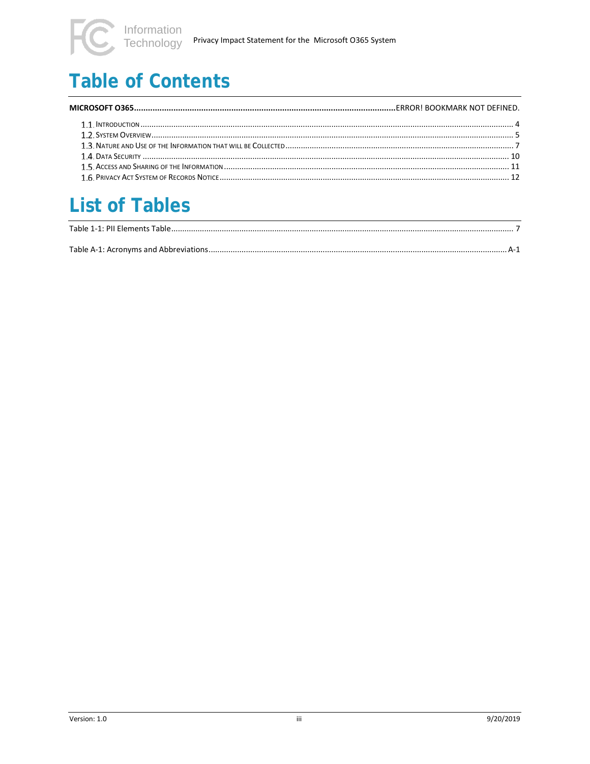# **Table of Contents**

# **List of Tables**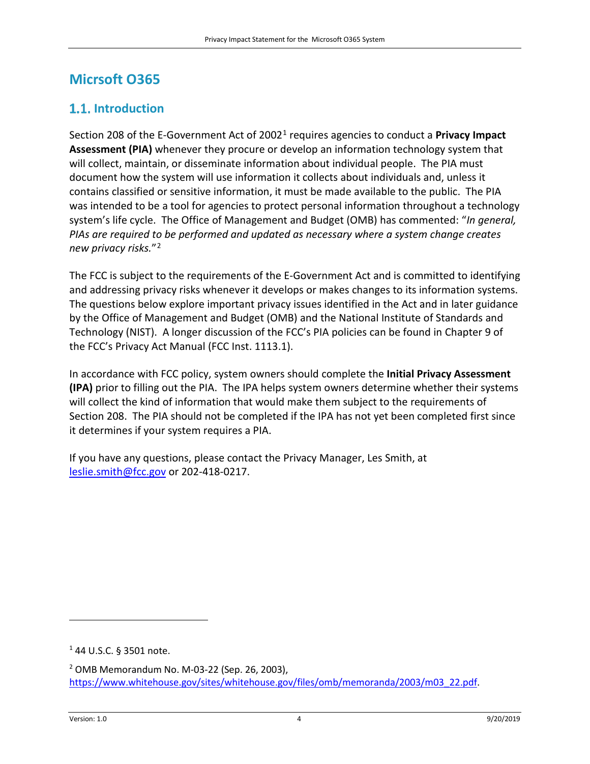### **Micrsoft O365**

### <span id="page-3-0"></span>**1.1.** Introduction

Section 208 of the E-Government Act of 2002[1](#page-3-1) requires agencies to conduct a **Privacy Impact Assessment (PIA)** whenever they procure or develop an information technology system that will collect, maintain, or disseminate information about individual people. The PIA must document how the system will use information it collects about individuals and, unless it contains classified or sensitive information, it must be made available to the public. The PIA was intended to be a tool for agencies to protect personal information throughout a technology system's life cycle. The Office of Management and Budget (OMB) has commented: "*In general, PIAs are required to be performed and updated as necessary where a system change creates new privacy risks.*"[2](#page-3-2)

The FCC is subject to the requirements of the E-Government Act and is committed to identifying and addressing privacy risks whenever it develops or makes changes to its information systems. The questions below explore important privacy issues identified in the Act and in later guidance by the Office of Management and Budget (OMB) and the National Institute of Standards and Technology (NIST). A longer discussion of the FCC's PIA policies can be found in Chapter 9 of the FCC's Privacy Act Manual (FCC Inst. 1113.1).

In accordance with FCC policy, system owners should complete the **Initial Privacy Assessment (IPA)** prior to filling out the PIA. The IPA helps system owners determine whether their systems will collect the kind of information that would make them subject to the requirements of Section 208. The PIA should not be completed if the IPA has not yet been completed first since it determines if your system requires a PIA.

If you have any questions, please contact the Privacy Manager, Les Smith, at [leslie.smith@fcc.gov](mailto:leslie.smith@fcc.gov) or 202-418-0217.

<span id="page-3-1"></span><sup>1</sup> 44 U.S.C. § 3501 note.

 $\overline{\phantom{a}}$ 

<span id="page-3-2"></span><sup>2</sup> OMB Memorandum No. M-03-22 (Sep. 26, 2003), [https://www.whitehouse.gov/sites/whitehouse.gov/files/omb/memoranda/2003/m03\\_22.pdf.](https://www.whitehouse.gov/sites/whitehouse.gov/files/omb/memoranda/2003/m03_22.pdf)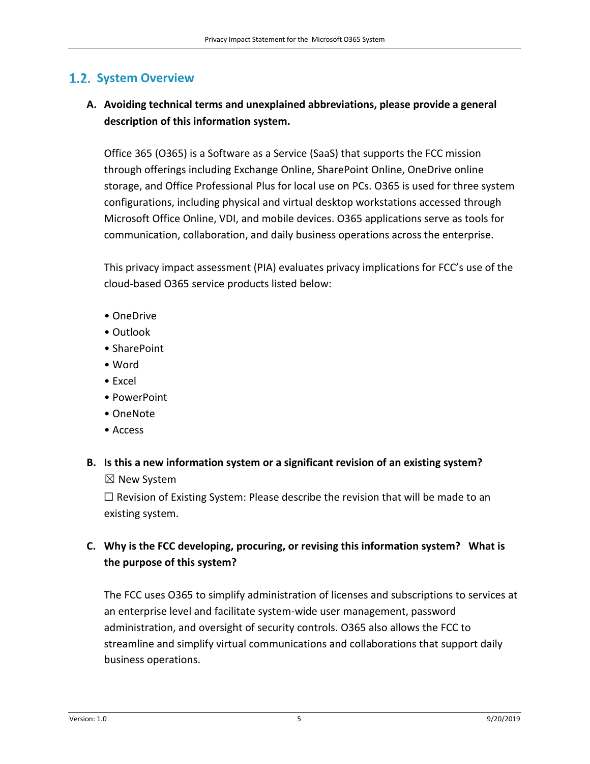#### <span id="page-4-0"></span>**1.2. System Overview**

#### **A. Avoiding technical terms and unexplained abbreviations, please provide a general description of this information system.**

Office 365 (O365) is a Software as a Service (SaaS) that supports the FCC mission through offerings including Exchange Online, SharePoint Online, OneDrive online storage, and Office Professional Plus for local use on PCs. O365 is used for three system configurations, including physical and virtual desktop workstations accessed through Microsoft Office Online, VDI, and mobile devices. O365 applications serve as tools for communication, collaboration, and daily business operations across the enterprise.

This privacy impact assessment (PIA) evaluates privacy implications for FCC's use of the cloud-based O365 service products listed below:

- OneDrive
- Outlook
- SharePoint
- Word
- Excel
- PowerPoint
- OneNote
- Access

## **B. Is this a new information system or a significant revision of an existing system?**

☒ New System

 $\Box$  Revision of Existing System: Please describe the revision that will be made to an existing system.

#### **C. Why is the FCC developing, procuring, or revising this information system? What is the purpose of this system?**

The FCC uses O365 to simplify administration of licenses and subscriptions to services at an enterprise level and facilitate system-wide user management, password administration, and oversight of security controls. O365 also allows the FCC to streamline and simplify virtual communications and collaborations that support daily business operations.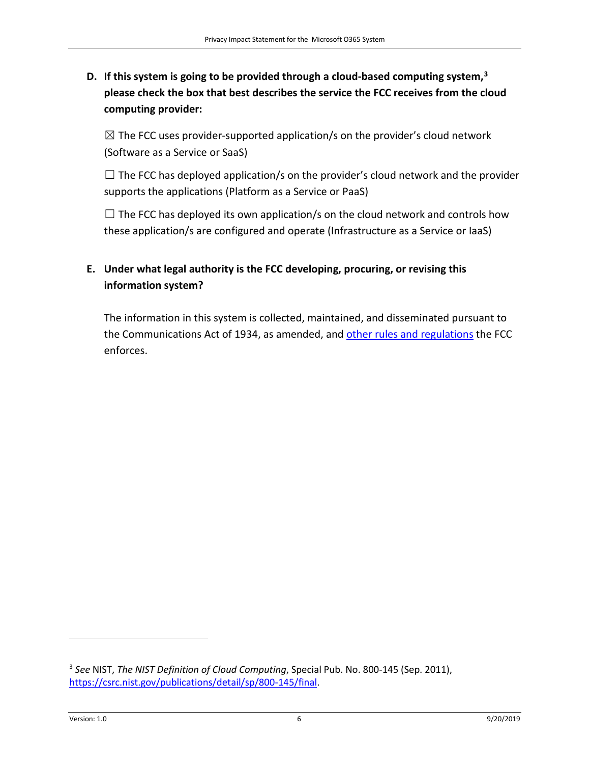**D. If this system is going to be provided through a cloud-based computing system,[3](#page-5-0)  please check the box that best describes the service the FCC receives from the cloud computing provider:** 

 $\boxtimes$  The FCC uses provider-supported application/s on the provider's cloud network (Software as a Service or SaaS)

 $\Box$  The FCC has deployed application/s on the provider's cloud network and the provider supports the applications (Platform as a Service or PaaS)

 $\Box$  The FCC has deployed its own application/s on the cloud network and controls how these application/s are configured and operate (Infrastructure as a Service or IaaS)

#### **E. Under what legal authority is the FCC developing, procuring, or revising this information system?**

The information in this system is collected, maintained, and disseminated pursuant to the Communications Act of 1934, as amended, and [other rules and regulations](https://www.fcc.gov/wireless/bureau-divisions/technologies-systems-and-innovation-division/rules-regulations-title-47) the FCC enforces.

l

<span id="page-5-0"></span><sup>3</sup> *See* NIST, *The NIST Definition of Cloud Computing*, Special Pub. No. 800-145 (Sep. 2011), [https://csrc.nist.gov/publications/detail/sp/800-145/final.](https://csrc.nist.gov/publications/detail/sp/800-145/final)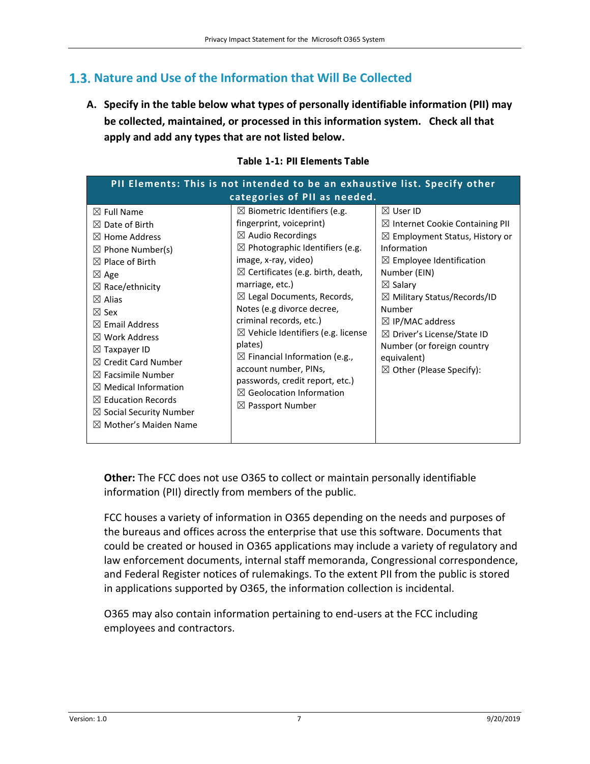#### <span id="page-6-0"></span>**Nature and Use of the Information that Will Be Collected**

**A. Specify in the table below what types of personally identifiable information (PII) may be collected, maintained, or processed in this information system. Check all that apply and add any types that are not listed below.**

<span id="page-6-1"></span>

| PII Elements: This is not intended to be an exhaustive list. Specify other                                                                                                                                                                                                                                                                                                                                                                                                                           |                                                                                                                                                                                                                                                                                                                                                                                                                                                                                                                                                                                          |                                                                                                                                                                                                                                                                                                                                                                                                                           |  |
|------------------------------------------------------------------------------------------------------------------------------------------------------------------------------------------------------------------------------------------------------------------------------------------------------------------------------------------------------------------------------------------------------------------------------------------------------------------------------------------------------|------------------------------------------------------------------------------------------------------------------------------------------------------------------------------------------------------------------------------------------------------------------------------------------------------------------------------------------------------------------------------------------------------------------------------------------------------------------------------------------------------------------------------------------------------------------------------------------|---------------------------------------------------------------------------------------------------------------------------------------------------------------------------------------------------------------------------------------------------------------------------------------------------------------------------------------------------------------------------------------------------------------------------|--|
| categories of PII as needed.                                                                                                                                                                                                                                                                                                                                                                                                                                                                         |                                                                                                                                                                                                                                                                                                                                                                                                                                                                                                                                                                                          |                                                                                                                                                                                                                                                                                                                                                                                                                           |  |
| $\boxtimes$ Full Name<br>$\boxtimes$ Date of Birth<br>$\boxtimes$ Home Address<br>$\boxtimes$ Phone Number(s)<br>$\boxtimes$ Place of Birth<br>$\boxtimes$ Age<br>$\boxtimes$ Race/ethnicity<br>$\boxtimes$ Alias<br>$\boxtimes$ Sex<br>$\boxtimes$ Email Address<br>$\boxtimes$ Work Address<br>$\boxtimes$ Taxpayer ID<br>$\boxtimes$ Credit Card Number<br>$\boxtimes$ Facsimile Number<br>$\boxtimes$ Medical Information<br>$\boxtimes$ Education Records<br>$\boxtimes$ Social Security Number | $\boxtimes$ Biometric Identifiers (e.g.<br>fingerprint, voiceprint)<br>$\boxtimes$ Audio Recordings<br>$\boxtimes$ Photographic Identifiers (e.g.<br>image, x-ray, video)<br>$\boxtimes$ Certificates (e.g. birth, death,<br>marriage, etc.)<br>$\boxtimes$ Legal Documents, Records,<br>Notes (e.g divorce decree,<br>criminal records, etc.)<br>$\boxtimes$ Vehicle Identifiers (e.g. license<br>plates)<br>$\boxtimes$ Financial Information (e.g.,<br>account number, PINs,<br>passwords, credit report, etc.)<br>$\boxtimes$ Geolocation Information<br>$\boxtimes$ Passport Number | $\boxtimes$ User ID<br>$\boxtimes$ Internet Cookie Containing PII<br>$\boxtimes$ Employment Status, History or<br>Information<br>$\boxtimes$ Employee Identification<br>Number (EIN)<br>$\boxtimes$ Salary<br>$\boxtimes$ Military Status/Records/ID<br>Number<br>$\boxtimes$ IP/MAC address<br>$\boxtimes$ Driver's License/State ID<br>Number (or foreign country<br>equivalent)<br>$\boxtimes$ Other (Please Specify): |  |
| $\boxtimes$ Mother's Maiden Name                                                                                                                                                                                                                                                                                                                                                                                                                                                                     |                                                                                                                                                                                                                                                                                                                                                                                                                                                                                                                                                                                          |                                                                                                                                                                                                                                                                                                                                                                                                                           |  |

**Table 1-1: PII Elements Table**

**Other:** The FCC does not use O365 to collect or maintain personally identifiable information (PII) directly from members of the public.

FCC houses a variety of information in O365 depending on the needs and purposes of the bureaus and offices across the enterprise that use this software. Documents that could be created or housed in O365 applications may include a variety of regulatory and law enforcement documents, internal staff memoranda, Congressional correspondence, and Federal Register notices of rulemakings. To the extent PII from the public is stored in applications supported by O365, the information collection is incidental.

O365 may also contain information pertaining to end-users at the FCC including employees and contractors.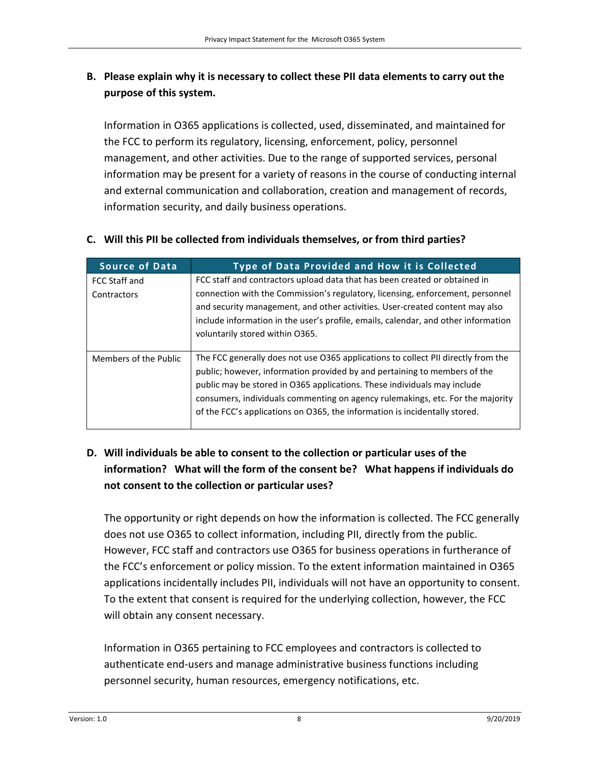#### **B. Please explain why it is necessary to collect these PII data elements to carry out the purpose of this system.**

Information in O365 applications is collected, used, disseminated, and maintained for the FCC to perform its regulatory, licensing, enforcement, policy, personnel management, and other activities. Due to the range of supported services, personal information may be present for a variety of reasons in the course of conducting internal and external communication and collaboration, creation and management of records, information security, and daily business operations.

| <b>Source of Data</b> | Type of Data Provided and How it is Collected                                                                                                                                                                                                                                                                                                                                                              |
|-----------------------|------------------------------------------------------------------------------------------------------------------------------------------------------------------------------------------------------------------------------------------------------------------------------------------------------------------------------------------------------------------------------------------------------------|
| FCC Staff and         | FCC staff and contractors upload data that has been created or obtained in                                                                                                                                                                                                                                                                                                                                 |
| Contractors           | connection with the Commission's regulatory, licensing, enforcement, personnel<br>and security management, and other activities. User-created content may also<br>include information in the user's profile, emails, calendar, and other information<br>voluntarily stored within 0365.                                                                                                                    |
| Members of the Public | The FCC generally does not use O365 applications to collect PII directly from the<br>public; however, information provided by and pertaining to members of the<br>public may be stored in O365 applications. These individuals may include<br>consumers, individuals commenting on agency rulemakings, etc. For the majority<br>of the FCC's applications on O365, the information is incidentally stored. |

#### **C. Will this PII be collected from individuals themselves, or from third parties?**

#### **D. Will individuals be able to consent to the collection or particular uses of the information? What will the form of the consent be? What happens if individuals do not consent to the collection or particular uses?**

The opportunity or right depends on how the information is collected. The FCC generally does not use O365 to collect information, including PII, directly from the public. However, FCC staff and contractors use O365 for business operations in furtherance of the FCC's enforcement or policy mission. To the extent information maintained in O365 applications incidentally includes PII, individuals will not have an opportunity to consent. To the extent that consent is required for the underlying collection, however, the FCC will obtain any consent necessary.

Information in O365 pertaining to FCC employees and contractors is collected to authenticate end-users and manage administrative business functions including personnel security, human resources, emergency notifications, etc.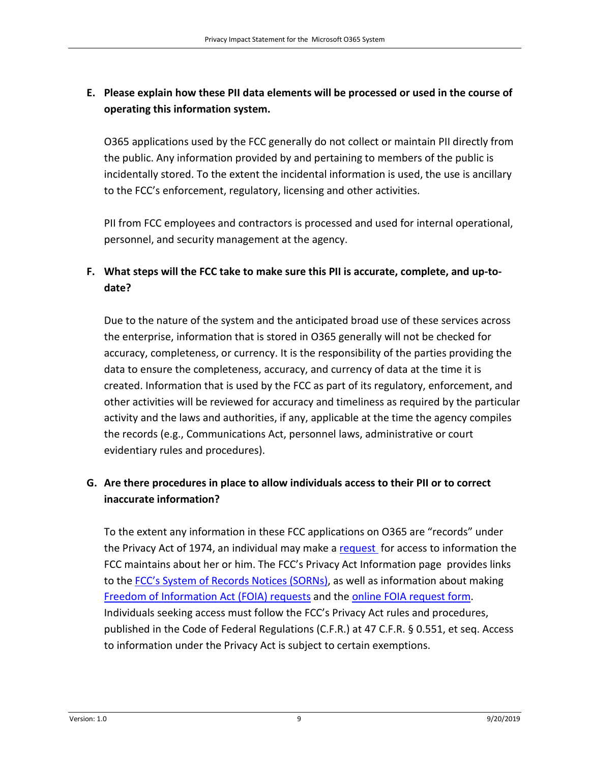#### **E. Please explain how these PII data elements will be processed or used in the course of operating this information system.**

O365 applications used by the FCC generally do not collect or maintain PII directly from the public. Any information provided by and pertaining to members of the public is incidentally stored. To the extent the incidental information is used, the use is ancillary to the FCC's enforcement, regulatory, licensing and other activities.

PII from FCC employees and contractors is processed and used for internal operational, personnel, and security management at the agency.

#### **F. What steps will the FCC take to make sure this PII is accurate, complete, and up-todate?**

Due to the nature of the system and the anticipated broad use of these services across the enterprise, information that is stored in O365 generally will not be checked for accuracy, completeness, or currency. It is the responsibility of the parties providing the data to ensure the completeness, accuracy, and currency of data at the time it is created. Information that is used by the FCC as part of its regulatory, enforcement, and other activities will be reviewed for accuracy and timeliness as required by the particular activity and the laws and authorities, if any, applicable at the time the agency compiles the records (e.g., Communications Act, personnel laws, administrative or court evidentiary rules and procedures).

#### **G. Are there procedures in place to allow individuals access to their PII or to correct inaccurate information?**

To the extent any information in these FCC applications on O365 are "records" under the Privacy Act of 1974, an individual may make a [request](https://www.fcc.gov/general/privacy-act-information) for access to information the FCC maintains about her or him. The FCC's Privacy Act Information page provides links to the [FCC's System of Records Notices \(SORNs\),](https://www.fcc.gov/general/privacy-act-information#systems) as well as information about making [Freedom of Information Act \(FOIA\) requests](https://www.fcc.gov/reports-research/guides/how-file-foia-request) and the [online FOIA request form.](https://foiaonline.gov/foiaonline/action/public/request) Individuals seeking access must follow the FCC's Privacy Act rules and procedures, published in the Code of Federal Regulations (C.F.R.) at 47 C.F.R. § 0.551, et seq. Access to information under the Privacy Act is subject to certain exemptions.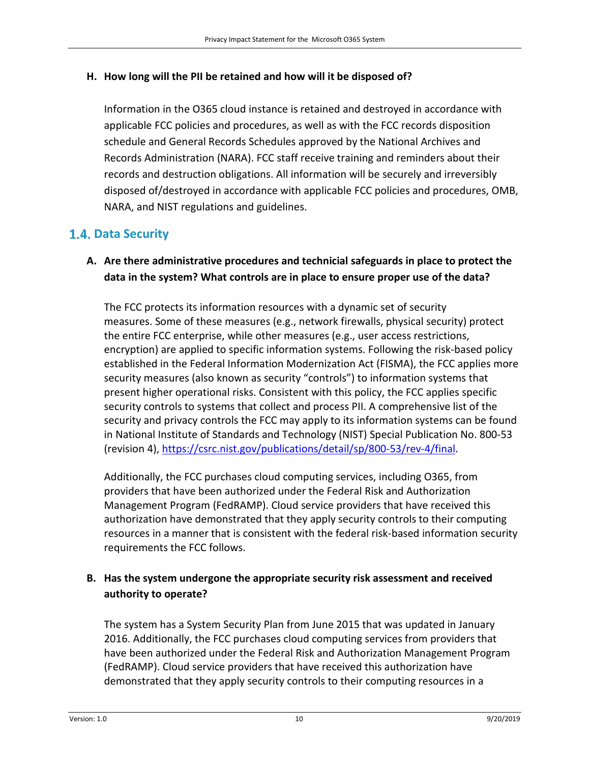#### **H. How long will the PII be retained and how will it be disposed of?**

Information in the O365 cloud instance is retained and destroyed in accordance with applicable FCC policies and procedures, as well as with the FCC records disposition schedule and General Records Schedules approved by the National Archives and Records Administration (NARA). FCC staff receive training and reminders about their records and destruction obligations. All information will be securely and irreversibly disposed of/destroyed in accordance with applicable FCC policies and procedures, OMB, NARA, and NIST regulations and guidelines.

#### <span id="page-9-0"></span>**1.4. Data Security**

#### **A. Are there administrative procedures and technicial safeguards in place to protect the data in the system? What controls are in place to ensure proper use of the data?**

The FCC protects its information resources with a dynamic set of security measures. Some of these measures (e.g., network firewalls, physical security) protect the entire FCC enterprise, while other measures (e.g., user access restrictions, encryption) are applied to specific information systems. Following the risk-based policy established in the Federal Information Modernization Act (FISMA), the FCC applies more security measures (also known as security "controls") to information systems that present higher operational risks. Consistent with this policy, the FCC applies specific security controls to systems that collect and process PII. A comprehensive list of the security and privacy controls the FCC may apply to its information systems can be found in National Institute of Standards and Technology (NIST) Special Publication No. 800-53 (revision 4), [https://csrc.nist.gov/publications/detail/sp/800-53/rev-4/final.](https://csrc.nist.gov/publications/detail/sp/800-53/rev-4/final)

Additionally, the FCC purchases cloud computing services, including O365, from providers that have been authorized under the Federal Risk and Authorization Management Program (FedRAMP). Cloud service providers that have received this authorization have demonstrated that they apply security controls to their computing resources in a manner that is consistent with the federal risk-based information security requirements the FCC follows.

#### **B. Has the system undergone the appropriate security risk assessment and received authority to operate?**

The system has a System Security Plan from June 2015 that was updated in January 2016. Additionally, the FCC purchases cloud computing services from providers that have been authorized under the Federal Risk and Authorization Management Program (FedRAMP). Cloud service providers that have received this authorization have demonstrated that they apply security controls to their computing resources in a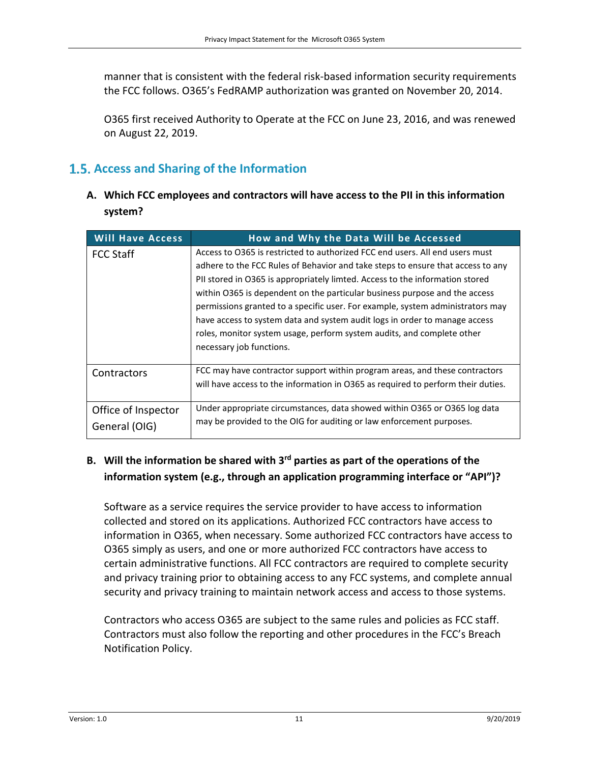manner that is consistent with the federal risk-based information security requirements the FCC follows. O365's FedRAMP authorization was granted on November 20, 2014.

O365 first received Authority to Operate at the FCC on June 23, 2016, and was renewed on August 22, 2019.

### <span id="page-10-0"></span>**1.5. Access and Sharing of the Information**

**A. Which FCC employees and contractors will have access to the PII in this information system?**

| <b>Will Have Access</b>              | How and Why the Data Will be Accessed                                                                                                                                                                                                                                                                                                                                                                                                                                                                                                                                                               |
|--------------------------------------|-----------------------------------------------------------------------------------------------------------------------------------------------------------------------------------------------------------------------------------------------------------------------------------------------------------------------------------------------------------------------------------------------------------------------------------------------------------------------------------------------------------------------------------------------------------------------------------------------------|
| <b>FCC Staff</b>                     | Access to O365 is restricted to authorized FCC end users. All end users must<br>adhere to the FCC Rules of Behavior and take steps to ensure that access to any<br>PII stored in O365 is appropriately limted. Access to the information stored<br>within 0365 is dependent on the particular business purpose and the access<br>permissions granted to a specific user. For example, system administrators may<br>have access to system data and system audit logs in order to manage access<br>roles, monitor system usage, perform system audits, and complete other<br>necessary job functions. |
| Contractors                          | FCC may have contractor support within program areas, and these contractors<br>will have access to the information in O365 as required to perform their duties.                                                                                                                                                                                                                                                                                                                                                                                                                                     |
| Office of Inspector<br>General (OIG) | Under appropriate circumstances, data showed within 0365 or 0365 log data<br>may be provided to the OIG for auditing or law enforcement purposes.                                                                                                                                                                                                                                                                                                                                                                                                                                                   |

#### **B. Will the information be shared with 3rd parties as part of the operations of the information system (e.g., through an application programming interface or "API")?**

Software as a service requires the service provider to have access to information collected and stored on its applications. Authorized FCC contractors have access to information in O365, when necessary. Some authorized FCC contractors have access to O365 simply as users, and one or more authorized FCC contractors have access to certain administrative functions. All FCC contractors are required to complete security and privacy training prior to obtaining access to any FCC systems, and complete annual security and privacy training to maintain network access and access to those systems.

Contractors who access O365 are subject to the same rules and policies as FCC staff. Contractors must also follow the reporting and other procedures in the FCC's Breach Notification Policy.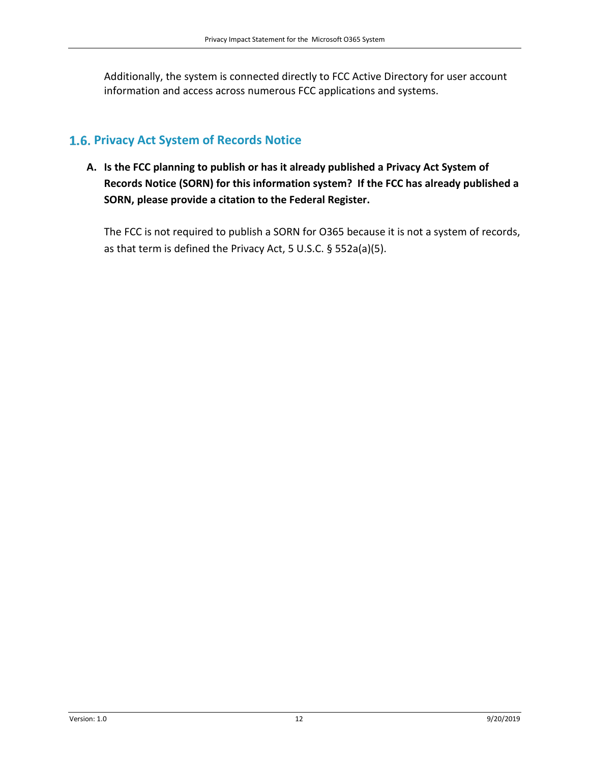Additionally, the system is connected directly to FCC Active Directory for user account information and access across numerous FCC applications and systems.

#### <span id="page-11-0"></span>**1.6. Privacy Act System of Records Notice**

**A. Is the FCC planning to publish or has it already published a Privacy Act System of Records Notice (SORN) for this information system? If the FCC has already published a SORN, please provide a citation to the Federal Register.** 

The FCC is not required to publish a SORN for O365 because it is not a system of records, as that term is defined the Privacy Act, 5 U.S.C. § 552a(a)(5).